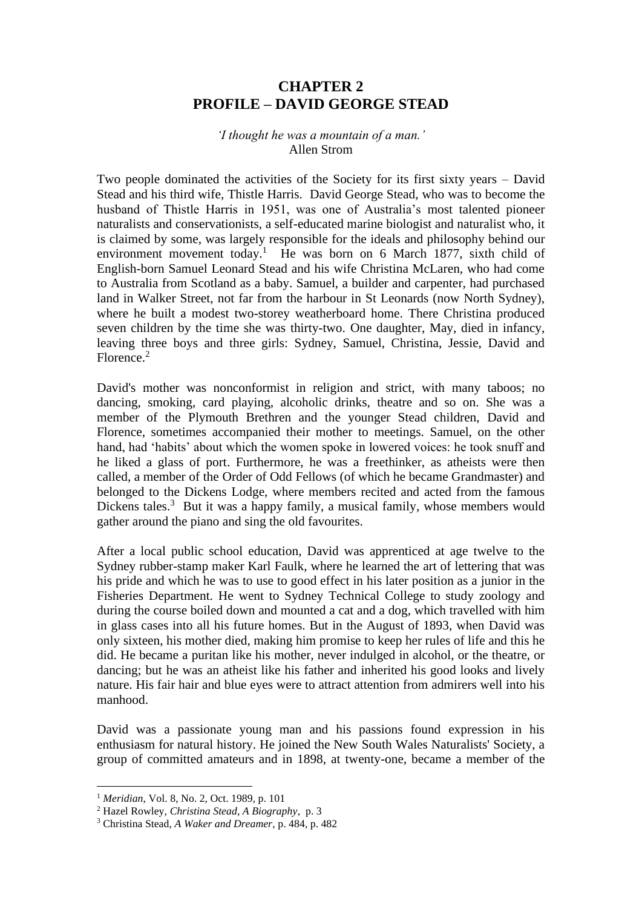## **CHAPTER 2 PROFILE – DAVID GEORGE STEAD**

## *'I thought he was a mountain of a man.'* Allen Strom

Two people dominated the activities of the Society for its first sixty years – David Stead and his third wife, Thistle Harris. David George Stead, who was to become the husband of Thistle Harris in 1951, was one of Australia's most talented pioneer naturalists and conservationists, a self-educated marine biologist and naturalist who, it is claimed by some, was largely responsible for the ideals and philosophy behind our environment movement today.<sup>1</sup> He was born on 6 March 1877, sixth child of English-born Samuel Leonard Stead and his wife Christina McLaren, who had come to Australia from Scotland as a baby. Samuel, a builder and carpenter, had purchased land in Walker Street, not far from the harbour in St Leonards (now North Sydney), where he built a modest two-storey weatherboard home. There Christina produced seven children by the time she was thirty-two. One daughter, May, died in infancy, leaving three boys and three girls: Sydney, Samuel, Christina, Jessie, David and Florence<sup>2</sup>

David's mother was nonconformist in religion and strict, with many taboos; no dancing, smoking, card playing, alcoholic drinks, theatre and so on. She was a member of the Plymouth Brethren and the younger Stead children, David and Florence, sometimes accompanied their mother to meetings. Samuel, on the other hand, had 'habits' about which the women spoke in lowered voices: he took snuff and he liked a glass of port. Furthermore, he was a freethinker, as atheists were then called, a member of the Order of Odd Fellows (of which he became Grandmaster) and belonged to the Dickens Lodge, where members recited and acted from the famous Dickens tales.<sup>3</sup> But it was a happy family, a musical family, whose members would gather around the piano and sing the old favourites.

After a local public school education, David was apprenticed at age twelve to the Sydney rubber-stamp maker Karl Faulk, where he learned the art of lettering that was his pride and which he was to use to good effect in his later position as a junior in the Fisheries Department. He went to Sydney Technical College to study zoology and during the course boiled down and mounted a cat and a dog, which travelled with him in glass cases into all his future homes. But in the August of 1893, when David was only sixteen, his mother died, making him promise to keep her rules of life and this he did. He became a puritan like his mother, never indulged in alcohol, or the theatre, or dancing; but he was an atheist like his father and inherited his good looks and lively nature. His fair hair and blue eyes were to attract attention from admirers well into his manhood.

David was a passionate young man and his passions found expression in his enthusiasm for natural history. He joined the New South Wales Naturalists' Society, a group of committed amateurs and in 1898, at twenty-one, became a member of the

<sup>1</sup> *Meridian*, Vol. 8, No. 2, Oct. 1989, p. 101

<sup>2</sup> Hazel Rowley, *Christina Stead, A Biography*, p. 3

<sup>3</sup> Christina Stead, *A Waker and Dreamer*, p. 484, p. 482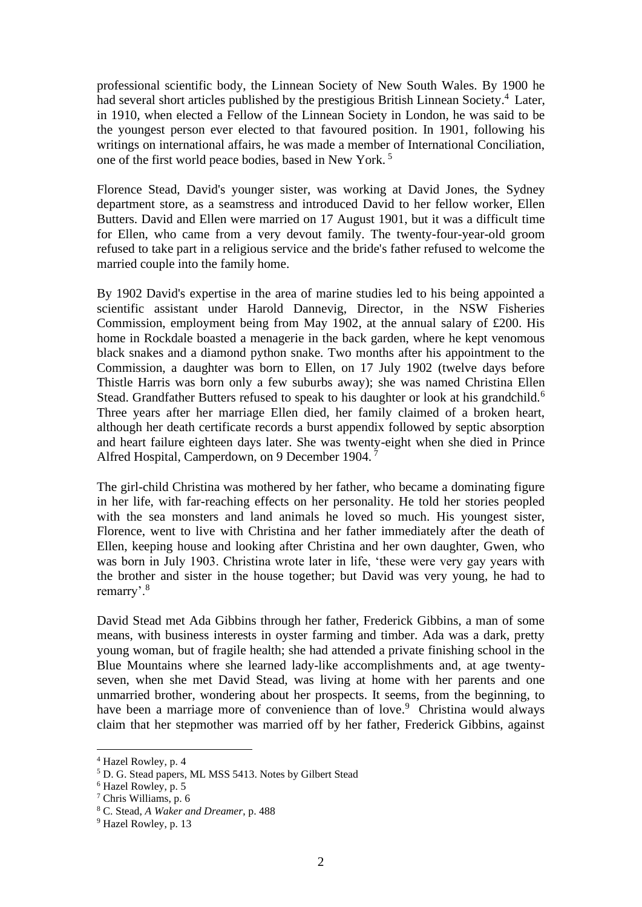professional scientific body, the Linnean Society of New South Wales. By 1900 he had several short articles published by the prestigious British Linnean Society.<sup>4</sup> Later, in 1910, when elected a Fellow of the Linnean Society in London, he was said to be the youngest person ever elected to that favoured position. In 1901, following his writings on international affairs, he was made a member of International Conciliation, one of the first world peace bodies, based in New York. <sup>5</sup>

Florence Stead, David's younger sister, was working at David Jones, the Sydney department store, as a seamstress and introduced David to her fellow worker, Ellen Butters. David and Ellen were married on 17 August 1901, but it was a difficult time for Ellen, who came from a very devout family. The twenty-four-year-old groom refused to take part in a religious service and the bride's father refused to welcome the married couple into the family home.

By 1902 David's expertise in the area of marine studies led to his being appointed a scientific assistant under Harold Dannevig, Director, in the NSW Fisheries Commission, employment being from May 1902, at the annual salary of £200. His home in Rockdale boasted a menagerie in the back garden, where he kept venomous black snakes and a diamond python snake. Two months after his appointment to the Commission, a daughter was born to Ellen, on 17 July 1902 (twelve days before Thistle Harris was born only a few suburbs away); she was named Christina Ellen Stead. Grandfather Butters refused to speak to his daughter or look at his grandchild.<sup>6</sup> Three years after her marriage Ellen died, her family claimed of a broken heart, although her death certificate records a burst appendix followed by septic absorption and heart failure eighteen days later. She was twenty-eight when she died in Prince Alfred Hospital, Camperdown, on 9 December 1904. <sup>7</sup>

The girl-child Christina was mothered by her father, who became a dominating figure in her life, with far-reaching effects on her personality. He told her stories peopled with the sea monsters and land animals he loved so much. His youngest sister, Florence, went to live with Christina and her father immediately after the death of Ellen, keeping house and looking after Christina and her own daughter, Gwen, who was born in July 1903. Christina wrote later in life, 'these were very gay years with the brother and sister in the house together; but David was very young, he had to remarry'.<sup>8</sup>

David Stead met Ada Gibbins through her father, Frederick Gibbins, a man of some means, with business interests in oyster farming and timber. Ada was a dark, pretty young woman, but of fragile health; she had attended a private finishing school in the Blue Mountains where she learned lady-like accomplishments and, at age twentyseven, when she met David Stead, was living at home with her parents and one unmarried brother, wondering about her prospects. It seems, from the beginning, to have been a marriage more of convenience than of love.<sup>9</sup> Christina would always claim that her stepmother was married off by her father, Frederick Gibbins, against

<sup>4</sup> Hazel Rowley, p. 4

<sup>&</sup>lt;sup>5</sup> D. G. Stead papers, ML MSS 5413. Notes by Gilbert Stead

<sup>6</sup> Hazel Rowley, p. 5

<sup>7</sup> Chris Williams, p. 6

<sup>8</sup> C. Stead, *A Waker and Dreamer*, p. 488

<sup>9</sup> Hazel Rowley, p. 13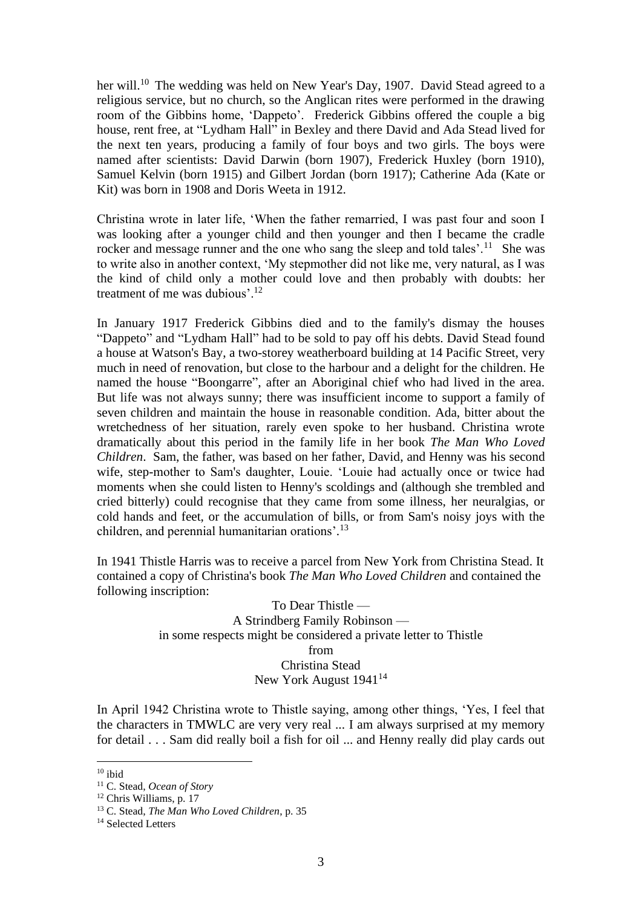her will.<sup>10</sup> The wedding was held on New Year's Day, 1907. David Stead agreed to a religious service, but no church, so the Anglican rites were performed in the drawing room of the Gibbins home, 'Dappeto'. Frederick Gibbins offered the couple a big house, rent free, at "Lydham Hall" in Bexley and there David and Ada Stead lived for the next ten years, producing a family of four boys and two girls. The boys were named after scientists: David Darwin (born 1907), Frederick Huxley (born 1910), Samuel Kelvin (born 1915) and Gilbert Jordan (born 1917); Catherine Ada (Kate or Kit) was born in 1908 and Doris Weeta in 1912.

Christina wrote in later life, 'When the father remarried, I was past four and soon I was looking after a younger child and then younger and then I became the cradle rocker and message runner and the one who sang the sleep and told tales'.<sup>11</sup> She was to write also in another context, 'My stepmother did not like me, very natural, as I was the kind of child only a mother could love and then probably with doubts: her treatment of me was dubious'.<sup>12</sup>

In January 1917 Frederick Gibbins died and to the family's dismay the houses "Dappeto" and "Lydham Hall" had to be sold to pay off his debts. David Stead found a house at Watson's Bay, a two-storey weatherboard building at 14 Pacific Street, very much in need of renovation, but close to the harbour and a delight for the children. He named the house "Boongarre", after an Aboriginal chief who had lived in the area. But life was not always sunny; there was insufficient income to support a family of seven children and maintain the house in reasonable condition. Ada, bitter about the wretchedness of her situation, rarely even spoke to her husband. Christina wrote dramatically about this period in the family life in her book *The Man Who Loved Children*. Sam, the father, was based on her father, David, and Henny was his second wife, step-mother to Sam's daughter, Louie. 'Louie had actually once or twice had moments when she could listen to Henny's scoldings and (although she trembled and cried bitterly) could recognise that they came from some illness, her neuralgias, or cold hands and feet, or the accumulation of bills, or from Sam's noisy joys with the children, and perennial humanitarian orations'.<sup>13</sup>

In 1941 Thistle Harris was to receive a parcel from New York from Christina Stead. It contained a copy of Christina's book *The Man Who Loved Children* and contained the following inscription:

> To Dear Thistle — A Strindberg Family Robinson in some respects might be considered a private letter to Thistle from Christina Stead New York August 1941<sup>14</sup>

In April 1942 Christina wrote to Thistle saying, among other things, 'Yes, I feel that the characters in TMWLC are very very real ... I am always surprised at my memory for detail . . . Sam did really boil a fish for oil ... and Henny really did play cards out

 $10$  ibid

<sup>11</sup> C. Stead, *Ocean of Story*

<sup>12</sup> Chris Williams, p. 17

<sup>13</sup> C. Stead, *The Man Who Loved Children*, p. 35

<sup>&</sup>lt;sup>14</sup> Selected Letters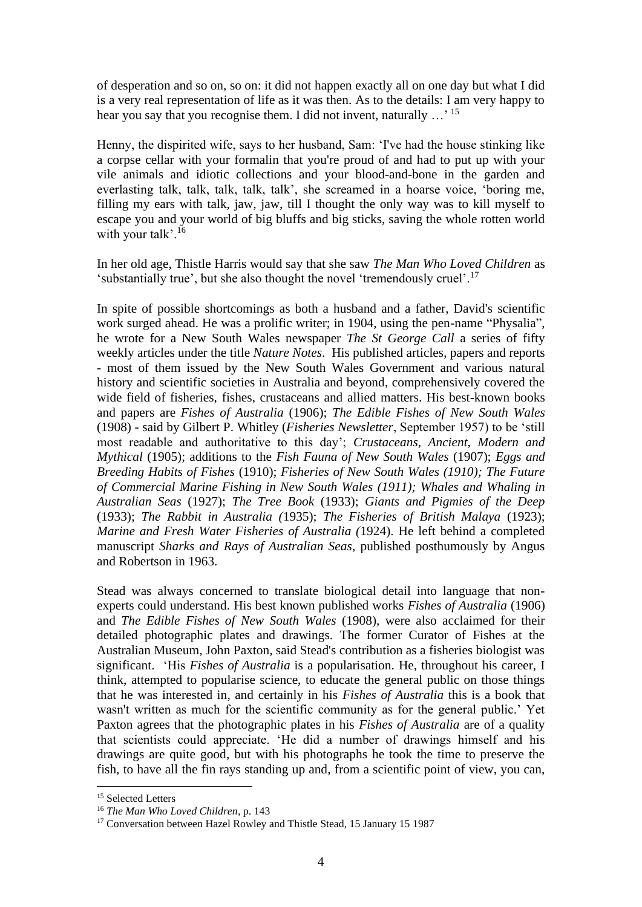of desperation and so on, so on: it did not happen exactly all on one day but what I did is a very real representation of life as it was then. As to the details: I am very happy to hear you say that you recognise them. I did not invent, naturally ...' <sup>15</sup>

Henny, the dispirited wife, says to her husband, Sam: 'I've had the house stinking like a corpse cellar with your formalin that you're proud of and had to put up with your vile animals and idiotic collections and your blood-and-bone in the garden and everlasting talk, talk, talk, talk, talk', she screamed in a hoarse voice, 'boring me, filling my ears with talk, jaw, jaw, till I thought the only way was to kill myself to escape you and your world of big bluffs and big sticks, saving the whole rotten world with your talk'.<sup>16</sup>

In her old age, Thistle Harris would say that she saw *The Man Who Loved Children* as 'substantially true', but she also thought the novel 'tremendously cruel'.<sup>17</sup>

In spite of possible shortcomings as both a husband and a father, David's scientific work surged ahead. He was a prolific writer; in 1904, using the pen-name "Physalia", he wrote for a New South Wales newspaper *The St George Call* a series of fifty weekly articles under the title *Nature Notes*. His published articles, papers and reports - most of them issued by the New South Wales Government and various natural history and scientific societies in Australia and beyond, comprehensively covered the wide field of fisheries, fishes, crustaceans and allied matters. His best-known books and papers are *Fishes of Australia* (1906); *The Edible Fishes of New South Wales* (1908) - said by Gilbert P. Whitley (*Fisheries Newsletter*, September 1957) to be 'still most readable and authoritative to this day'; *Crustaceans, Ancient, Modern and Mythical* (1905); additions to the *Fish Fauna of New South Wales* (1907); *Eggs and Breeding Habits of Fishes* (1910); *Fisheries of New South Wales (1910); The Future of Commercial Marine Fishing in New South Wales (1911); Whales and Whaling in Australian Seas* (1927); *The Tree Book* (1933); *Giants and Pigmies of the Deep* (1933); *The Rabbit in Australia (*1935); *The Fisheries of British Malaya* (1923); *Marine and Fresh Water Fisheries of Australia (*1924). He left behind a completed manuscript *Sharks and Rays of Australian Seas*, published posthumously by Angus and Robertson in 1963.

Stead was always concerned to translate biological detail into language that nonexperts could understand. His best known published works *Fishes of Australia* (1906) and *The Edible Fishes of New South Wales* (1908), were also acclaimed for their detailed photographic plates and drawings. The former Curator of Fishes at the Australian Museum, John Paxton, said Stead's contribution as a fisheries biologist was significant. 'His *Fishes of Australia* is a popularisation. He, throughout his career, I think, attempted to popularise science, to educate the general public on those things that he was interested in, and certainly in his *Fishes of Australia* this is a book that wasn't written as much for the scientific community as for the general public.' Yet Paxton agrees that the photographic plates in his *Fishes of Australia* are of a quality that scientists could appreciate. 'He did a number of drawings himself and his drawings are quite good, but with his photographs he took the time to preserve the fish, to have all the fin rays standing up and, from a scientific point of view, you can,

<sup>&</sup>lt;sup>15</sup> Selected Letters

<sup>16</sup> *The Man Who Loved Children*, p. 143

<sup>&</sup>lt;sup>17</sup> Conversation between Hazel Rowley and Thistle Stead, 15 January 15 1987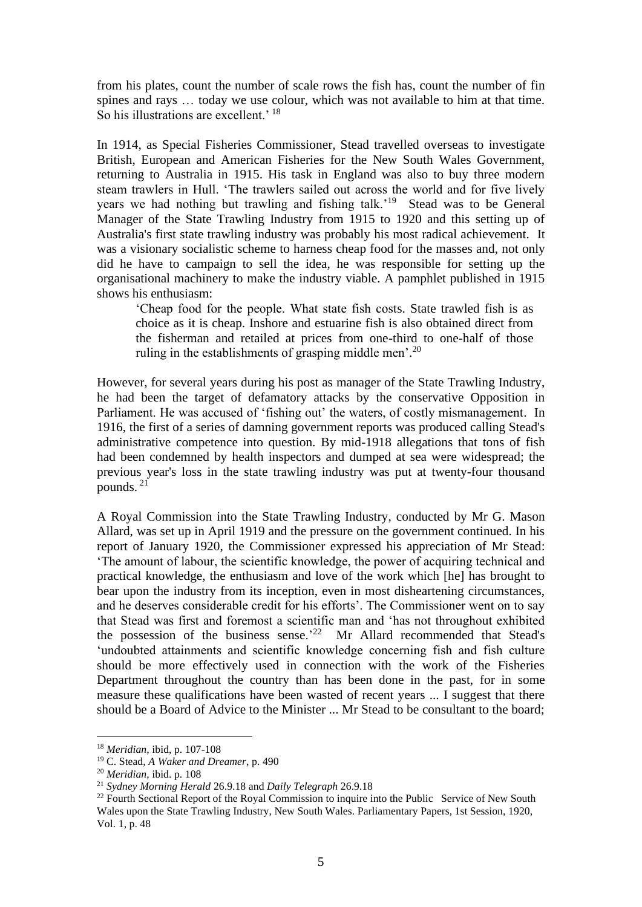from his plates, count the number of scale rows the fish has, count the number of fin spines and rays … today we use colour, which was not available to him at that time. So his illustrations are excellent.<sup>' 18</sup>

In 1914, as Special Fisheries Commissioner, Stead travelled overseas to investigate British, European and American Fisheries for the New South Wales Government, returning to Australia in 1915. His task in England was also to buy three modern steam trawlers in Hull. 'The trawlers sailed out across the world and for five lively years we had nothing but trawling and fishing talk.'<sup>19</sup> Stead was to be General Manager of the State Trawling Industry from 1915 to 1920 and this setting up of Australia's first state trawling industry was probably his most radical achievement. It was a visionary socialistic scheme to harness cheap food for the masses and, not only did he have to campaign to sell the idea, he was responsible for setting up the organisational machinery to make the industry viable. A pamphlet published in 1915 shows his enthusiasm:

'Cheap food for the people. What state fish costs. State trawled fish is as choice as it is cheap. Inshore and estuarine fish is also obtained direct from the fisherman and retailed at prices from one-third to one-half of those ruling in the establishments of grasping middle men'.<sup>20</sup>

However, for several years during his post as manager of the State Trawling Industry, he had been the target of defamatory attacks by the conservative Opposition in Parliament. He was accused of 'fishing out' the waters, of costly mismanagement. In 1916, the first of a series of damning government reports was produced calling Stead's administrative competence into question. By mid-1918 allegations that tons of fish had been condemned by health inspectors and dumped at sea were widespread; the previous year's loss in the state trawling industry was put at twenty-four thousand pounds. <sup>21</sup>

A Royal Commission into the State Trawling Industry, conducted by Mr G. Mason Allard, was set up in April 1919 and the pressure on the government continued. In his report of January 1920, the Commissioner expressed his appreciation of Mr Stead: 'The amount of labour, the scientific knowledge, the power of acquiring technical and practical knowledge, the enthusiasm and love of the work which [he] has brought to bear upon the industry from its inception, even in most disheartening circumstances, and he deserves considerable credit for his efforts'. The Commissioner went on to say that Stead was first and foremost a scientific man and 'has not throughout exhibited the possession of the business sense.'<sup>22</sup> Mr Allard recommended that Stead's 'undoubted attainments and scientific knowledge concerning fish and fish culture should be more effectively used in connection with the work of the Fisheries Department throughout the country than has been done in the past, for in some measure these qualifications have been wasted of recent years ... I suggest that there should be a Board of Advice to the Minister ... Mr Stead to be consultant to the board;

<sup>18</sup> *Meridian,* ibid, p. 107-108

<sup>19</sup> C. Stead, *A Waker and Dreamer*, p. 490

<sup>20</sup> *Meridian*, ibid. p. 108

<sup>21</sup> *Sydney Morning Herald* 26.9.18 and *Daily Telegraph* 26.9.18

 $22$  Fourth Sectional Report of the Royal Commission to inquire into the Public Service of New South Wales upon the State Trawling Industry, New South Wales. Parliamentary Papers, 1st Session, 1920, Vol. 1, p. 48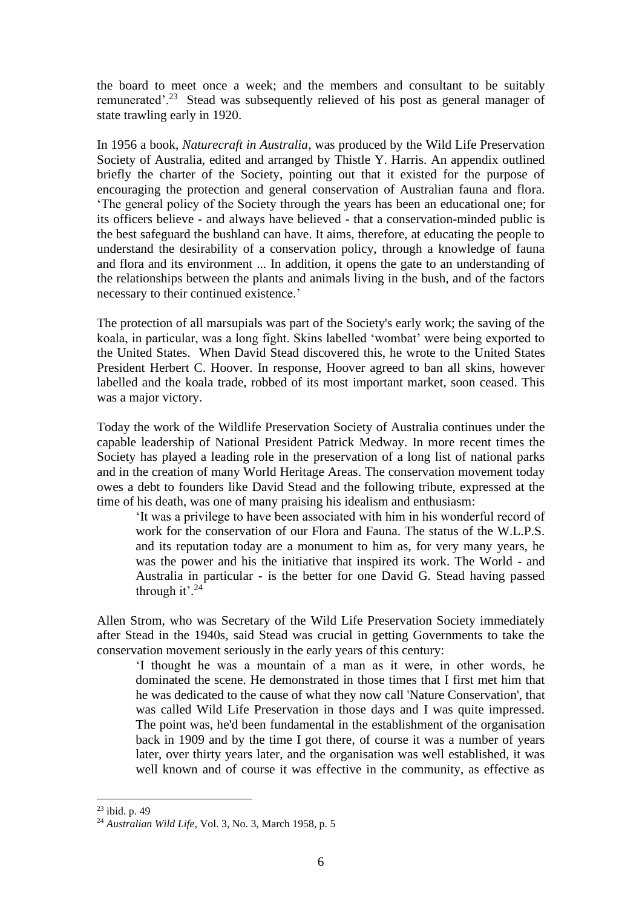the board to meet once a week; and the members and consultant to be suitably remunerated'.<sup>23</sup> Stead was subsequently relieved of his post as general manager of state trawling early in 1920.

In 1956 a book, *Naturecraft in Australia*, was produced by the Wild Life Preservation Society of Australia, edited and arranged by Thistle Y. Harris. An appendix outlined briefly the charter of the Society, pointing out that it existed for the purpose of encouraging the protection and general conservation of Australian fauna and flora. 'The general policy of the Society through the years has been an educational one; for its officers believe - and always have believed - that a conservation-minded public is the best safeguard the bushland can have. It aims, therefore, at educating the people to understand the desirability of a conservation policy, through a knowledge of fauna and flora and its environment ... In addition, it opens the gate to an understanding of the relationships between the plants and animals living in the bush, and of the factors necessary to their continued existence.'

The protection of all marsupials was part of the Society's early work; the saving of the koala, in particular, was a long fight. Skins labelled 'wombat' were being exported to the United States. When David Stead discovered this, he wrote to the United States President Herbert C. Hoover. In response, Hoover agreed to ban all skins, however labelled and the koala trade, robbed of its most important market, soon ceased. This was a major victory.

Today the work of the Wildlife Preservation Society of Australia continues under the capable leadership of National President Patrick Medway. In more recent times the Society has played a leading role in the preservation of a long list of national parks and in the creation of many World Heritage Areas. The conservation movement today owes a debt to founders like David Stead and the following tribute, expressed at the time of his death, was one of many praising his idealism and enthusiasm:

'It was a privilege to have been associated with him in his wonderful record of work for the conservation of our Flora and Fauna. The status of the W.L.P.S. and its reputation today are a monument to him as, for very many years, he was the power and his the initiative that inspired its work. The World - and Australia in particular - is the better for one David G. Stead having passed through it'. $24$ 

Allen Strom, who was Secretary of the Wild Life Preservation Society immediately after Stead in the 1940s, said Stead was crucial in getting Governments to take the conservation movement seriously in the early years of this century:

'I thought he was a mountain of a man as it were, in other words, he dominated the scene. He demonstrated in those times that I first met him that he was dedicated to the cause of what they now call 'Nature Conservation', that was called Wild Life Preservation in those days and I was quite impressed. The point was, he'd been fundamental in the establishment of the organisation back in 1909 and by the time I got there, of course it was a number of years later, over thirty years later, and the organisation was well established, it was well known and of course it was effective in the community, as effective as

 $23$  ibid. p. 49

<sup>24</sup> *Australian Wild Life*, Vol. 3, No. 3, March 1958, p. 5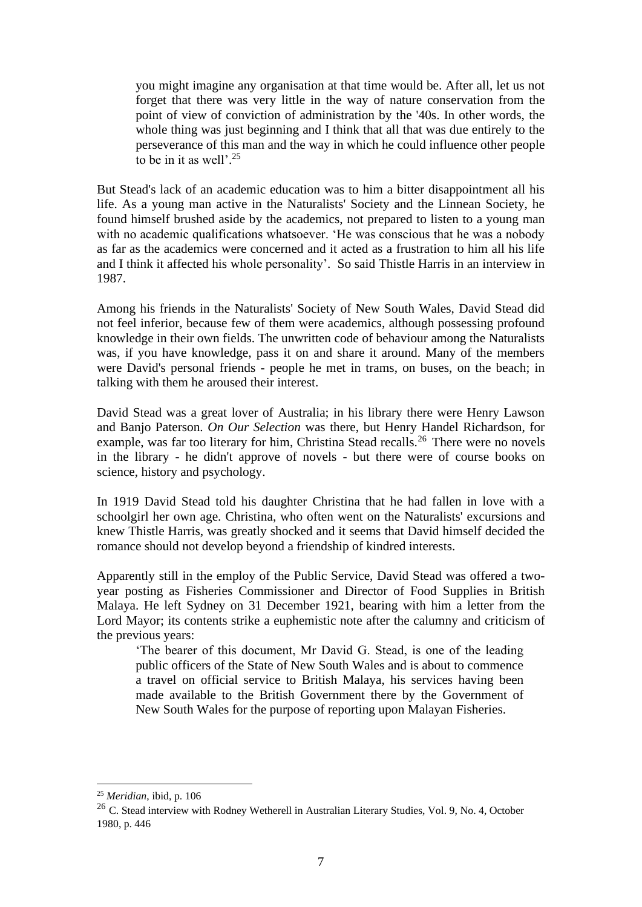you might imagine any organisation at that time would be. After all, let us not forget that there was very little in the way of nature conservation from the point of view of conviction of administration by the '40s. In other words, the whole thing was just beginning and I think that all that was due entirely to the perseverance of this man and the way in which he could influence other people to be in it as well'. 25

But Stead's lack of an academic education was to him a bitter disappointment all his life. As a young man active in the Naturalists' Society and the Linnean Society, he found himself brushed aside by the academics, not prepared to listen to a young man with no academic qualifications whatsoever. 'He was conscious that he was a nobody as far as the academics were concerned and it acted as a frustration to him all his life and I think it affected his whole personality'. So said Thistle Harris in an interview in 1987.

Among his friends in the Naturalists' Society of New South Wales, David Stead did not feel inferior, because few of them were academics, although possessing profound knowledge in their own fields. The unwritten code of behaviour among the Naturalists was, if you have knowledge, pass it on and share it around. Many of the members were David's personal friends - people he met in trams, on buses, on the beach; in talking with them he aroused their interest.

David Stead was a great lover of Australia; in his library there were Henry Lawson and Banjo Paterson. *On Our Selection* was there, but Henry Handel Richardson, for example, was far too literary for him, Christina Stead recalls.<sup>26</sup> There were no novels in the library - he didn't approve of novels - but there were of course books on science, history and psychology.

In 1919 David Stead told his daughter Christina that he had fallen in love with a schoolgirl her own age. Christina, who often went on the Naturalists' excursions and knew Thistle Harris, was greatly shocked and it seems that David himself decided the romance should not develop beyond a friendship of kindred interests.

Apparently still in the employ of the Public Service, David Stead was offered a twoyear posting as Fisheries Commissioner and Director of Food Supplies in British Malaya. He left Sydney on 31 December 1921, bearing with him a letter from the Lord Mayor; its contents strike a euphemistic note after the calumny and criticism of the previous years:

'The bearer of this document, Mr David G. Stead, is one of the leading public officers of the State of New South Wales and is about to commence a travel on official service to British Malaya, his services having been made available to the British Government there by the Government of New South Wales for the purpose of reporting upon Malayan Fisheries.

<sup>25</sup> *Meridian*, ibid, p. 106

<sup>&</sup>lt;sup>26</sup> C. Stead interview with Rodney Wetherell in Australian Literary Studies, Vol. 9, No. 4, October 1980, p. 446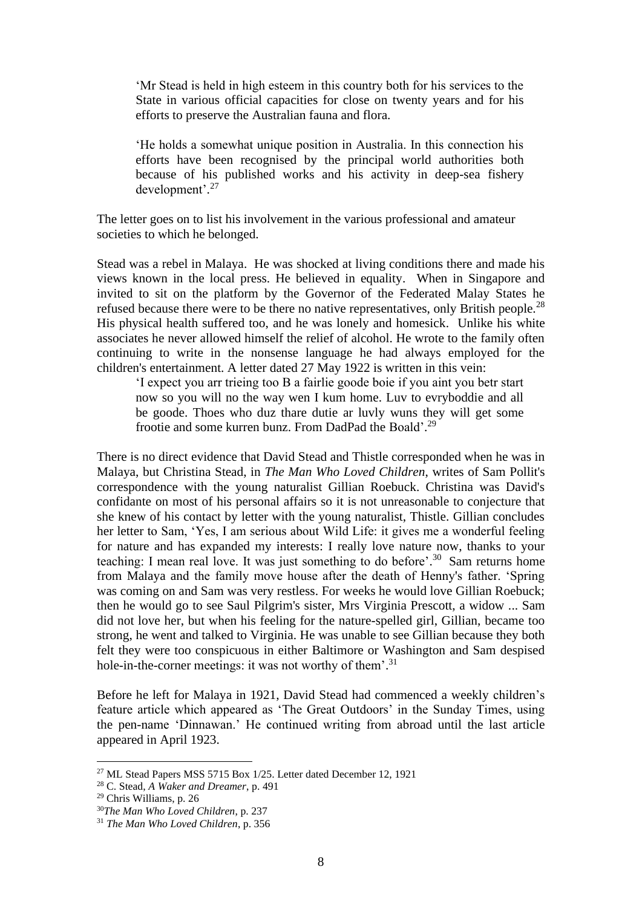'Mr Stead is held in high esteem in this country both for his services to the State in various official capacities for close on twenty years and for his efforts to preserve the Australian fauna and flora.

'He holds a somewhat unique position in Australia. In this connection his efforts have been recognised by the principal world authorities both because of his published works and his activity in deep-sea fishery development'. 27

The letter goes on to list his involvement in the various professional and amateur societies to which he belonged.

Stead was a rebel in Malaya. He was shocked at living conditions there and made his views known in the local press. He believed in equality. When in Singapore and invited to sit on the platform by the Governor of the Federated Malay States he refused because there were to be there no native representatives, only British people.<sup>28</sup> His physical health suffered too, and he was lonely and homesick. Unlike his white associates he never allowed himself the relief of alcohol. He wrote to the family often continuing to write in the nonsense language he had always employed for the children's entertainment. A letter dated 27 May 1922 is written in this vein:

'I expect you arr trieing too B a fairlie goode boie if you aint you betr start now so you will no the way wen I kum home. Luv to evryboddie and all be goode. Thoes who duz thare dutie ar luvly wuns they will get some frootie and some kurren bunz. From DadPad the Boald'.<sup>29</sup>

There is no direct evidence that David Stead and Thistle corresponded when he was in Malaya, but Christina Stead, in *The Man Who Loved Children*, writes of Sam Pollit's correspondence with the young naturalist Gillian Roebuck. Christina was David's confidante on most of his personal affairs so it is not unreasonable to conjecture that she knew of his contact by letter with the young naturalist, Thistle. Gillian concludes her letter to Sam, 'Yes, I am serious about Wild Life: it gives me a wonderful feeling for nature and has expanded my interests: I really love nature now, thanks to your teaching: I mean real love. It was just something to do before'.<sup>30</sup> Sam returns home from Malaya and the family move house after the death of Henny's father. 'Spring was coming on and Sam was very restless. For weeks he would love Gillian Roebuck; then he would go to see Saul Pilgrim's sister, Mrs Virginia Prescott, a widow ... Sam did not love her, but when his feeling for the nature-spelled girl, Gillian, became too strong, he went and talked to Virginia. He was unable to see Gillian because they both felt they were too conspicuous in either Baltimore or Washington and Sam despised hole-in-the-corner meetings: it was not worthy of them'.<sup>31</sup>

Before he left for Malaya in 1921, David Stead had commenced a weekly children's feature article which appeared as 'The Great Outdoors' in the Sunday Times, using the pen-name 'Dinnawan.' He continued writing from abroad until the last article appeared in April 1923.

<sup>&</sup>lt;sup>27</sup> ML Stead Papers MSS 5715 Box  $1/25$ . Letter dated December 12, 1921

<sup>28</sup> C. Stead, *A Waker and Dreamer*, p. 491

<sup>29</sup> Chris Williams, p. 26

<sup>30</sup>*The Man Who Loved Children*, p. 237

<sup>31</sup> *The Man Who Loved Children*, p. 356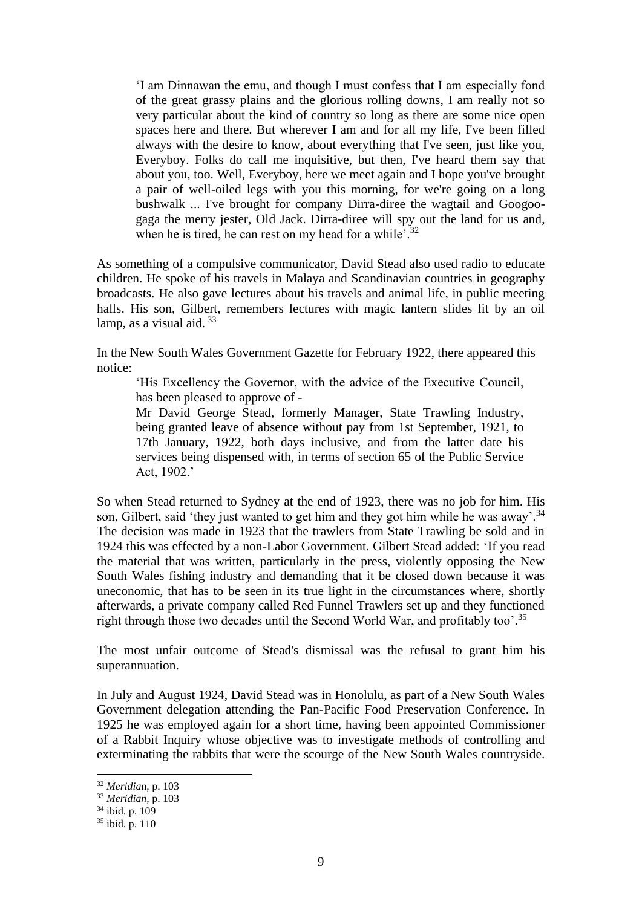'I am Dinnawan the emu, and though I must confess that I am especially fond of the great grassy plains and the glorious rolling downs, I am really not so very particular about the kind of country so long as there are some nice open spaces here and there. But wherever I am and for all my life, I've been filled always with the desire to know, about everything that I've seen, just like you, Everyboy. Folks do call me inquisitive, but then, I've heard them say that about you, too. Well, Everyboy, here we meet again and I hope you've brought a pair of well-oiled legs with you this morning, for we're going on a long bushwalk ... I've brought for company Dirra-diree the wagtail and Googoogaga the merry jester, Old Jack. Dirra-diree will spy out the land for us and, when he is tired, he can rest on my head for a while'.<sup>32</sup>

As something of a compulsive communicator, David Stead also used radio to educate children. He spoke of his travels in Malaya and Scandinavian countries in geography broadcasts. He also gave lectures about his travels and animal life, in public meeting halls. His son, Gilbert, remembers lectures with magic lantern slides lit by an oil lamp, as a visual aid.  $33$ 

In the New South Wales Government Gazette for February 1922, there appeared this notice:

'His Excellency the Governor, with the advice of the Executive Council, has been pleased to approve of -

Mr David George Stead, formerly Manager, State Trawling Industry, being granted leave of absence without pay from 1st September, 1921, to 17th January, 1922, both days inclusive, and from the latter date his services being dispensed with, in terms of section 65 of the Public Service Act, 1902.'

So when Stead returned to Sydney at the end of 1923, there was no job for him. His son, Gilbert, said 'they just wanted to get him and they got him while he was away'.<sup>34</sup> The decision was made in 1923 that the trawlers from State Trawling be sold and in 1924 this was effected by a non-Labor Government. Gilbert Stead added: 'If you read the material that was written, particularly in the press, violently opposing the New South Wales fishing industry and demanding that it be closed down because it was uneconomic, that has to be seen in its true light in the circumstances where, shortly afterwards, a private company called Red Funnel Trawlers set up and they functioned right through those two decades until the Second World War, and profitably too'. 35

The most unfair outcome of Stead's dismissal was the refusal to grant him his superannuation.

In July and August 1924, David Stead was in Honolulu, as part of a New South Wales Government delegation attending the Pan-Pacific Food Preservation Conference. In 1925 he was employed again for a short time, having been appointed Commissioner of a Rabbit Inquiry whose objective was to investigate methods of controlling and exterminating the rabbits that were the scourge of the New South Wales countryside.

<sup>32</sup> *Meridia*n, p. 103

<sup>33</sup> *Meridian*, p. 103

 $34$  ibid. p. 109

<sup>35</sup> ibid. p. 110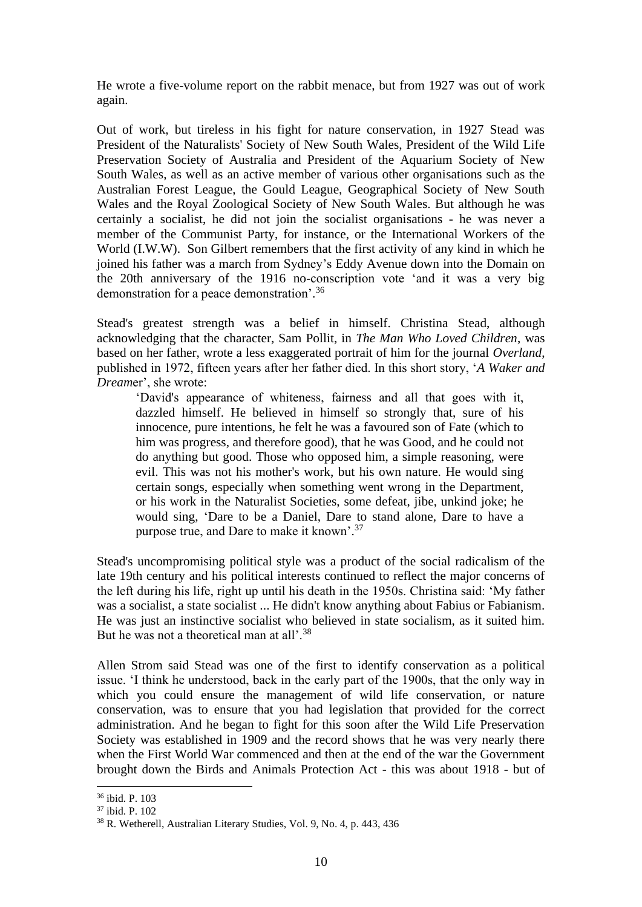He wrote a five-volume report on the rabbit menace, but from 1927 was out of work again.

Out of work, but tireless in his fight for nature conservation, in 1927 Stead was President of the Naturalists' Society of New South Wales, President of the Wild Life Preservation Society of Australia and President of the Aquarium Society of New South Wales, as well as an active member of various other organisations such as the Australian Forest League, the Gould League, Geographical Society of New South Wales and the Royal Zoological Society of New South Wales. But although he was certainly a socialist, he did not join the socialist organisations - he was never a member of the Communist Party, for instance, or the International Workers of the World (I.W.W). Son Gilbert remembers that the first activity of any kind in which he joined his father was a march from Sydney's Eddy Avenue down into the Domain on the 20th anniversary of the 1916 no-conscription vote 'and it was a very big demonstration for a peace demonstration'. 36

Stead's greatest strength was a belief in himself. Christina Stead, although acknowledging that the character, Sam Pollit, in *The Man Who Loved Children*, was based on her father, wrote a less exaggerated portrait of him for the journal *Overland*, published in 1972, fifteen years after her father died. In this short story, '*A Waker and Dream*er', she wrote:

'David's appearance of whiteness, fairness and all that goes with it, dazzled himself. He believed in himself so strongly that, sure of his innocence, pure intentions, he felt he was a favoured son of Fate (which to him was progress, and therefore good), that he was Good, and he could not do anything but good. Those who opposed him, a simple reasoning, were evil. This was not his mother's work, but his own nature. He would sing certain songs, especially when something went wrong in the Department, or his work in the Naturalist Societies, some defeat, jibe, unkind joke; he would sing, 'Dare to be a Daniel, Dare to stand alone, Dare to have a purpose true, and Dare to make it known'.<sup>37</sup>

Stead's uncompromising political style was a product of the social radicalism of the late 19th century and his political interests continued to reflect the major concerns of the left during his life, right up until his death in the 1950s. Christina said: 'My father was a socialist, a state socialist ... He didn't know anything about Fabius or Fabianism. He was just an instinctive socialist who believed in state socialism, as it suited him. But he was not a theoretical man at all'.<sup>38</sup>

Allen Strom said Stead was one of the first to identify conservation as a political issue. 'I think he understood, back in the early part of the 1900s, that the only way in which you could ensure the management of wild life conservation, or nature conservation, was to ensure that you had legislation that provided for the correct administration. And he began to fight for this soon after the Wild Life Preservation Society was established in 1909 and the record shows that he was very nearly there when the First World War commenced and then at the end of the war the Government brought down the Birds and Animals Protection Act - this was about 1918 - but of

<sup>36</sup> ibid. P. 103

<sup>37</sup> ibid. P. 102

<sup>38</sup> R. Wetherell, Australian Literary Studies, Vol. 9, No. 4, p. 443, 436